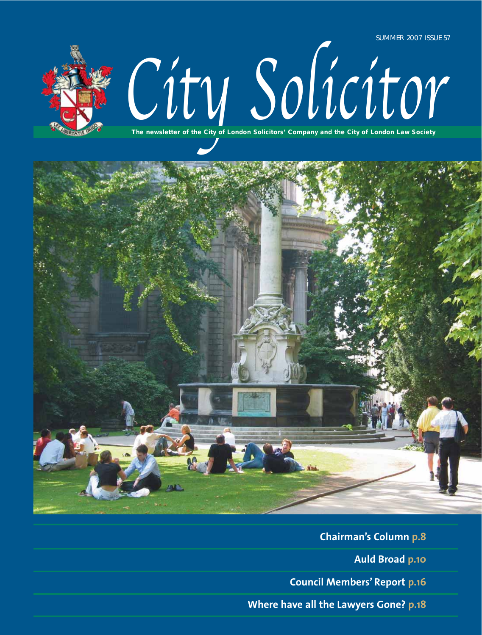

# City Solicitor

**The newsletter of the City of London Solicitors' Company and the City of London Law Society**



**Chairman's Column p.8 Auld Broad p.10 Council Members' Report p.16 Where have all the Lawyers Gone? p.18**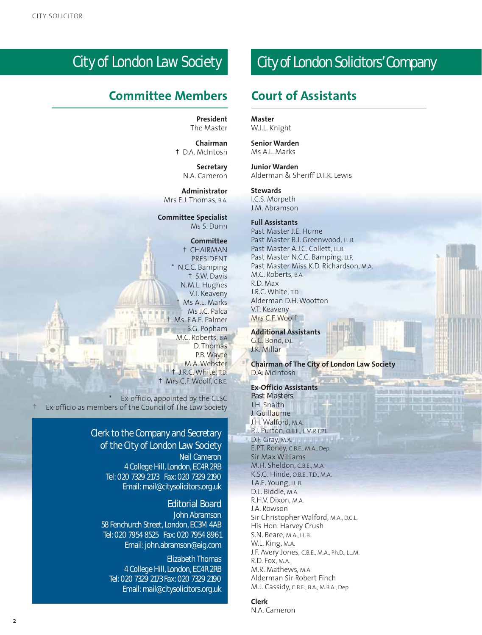## City of London Law Society

## **Committee Members Court of Assistants**

**President** The Master

**Chairman** † D.A. McIntosh

> **Secretary** N.A. Cameron

**Administrator** Mrs E.J. Thomas, B.A.

**Committee Specialist** Ms S. Dunn

#### **Committee**

† CHAIRMAN PRESIDENT N.C.C. Bamping † S.W. Davis N.M.L. Hughes V.T. Keaveny Ms A.L. Marks Ms J.C. Palca Ms. F.A.E. Palmer S.G. Popham M.C. Roberts, B.A D. Thomas P.B. Wayte M.A. Webster J.R.C. White, T.D. † Mrs C.F. Woolf, C.B.E.

Ex-officio, appointed by the CLSC † Ex-officio as members of the Council of The Law Society

#### **Clerk to the Company and Secretary of the City of London Law Society Neil Cameron**

4 College Hill, London, EC4R 2RB Tel: 020 7329 2173 Fax: 020 7329 2190 Email: mail@citysolicitors.org.uk

#### **Editorial Board**

**John Abramson** 58 Fenchurch Street, London, EC3M 4AB Tel: 020 7954 8525 Fax: 020 7954 8961 Email: john.abramson@aig.com

**Elizabeth Thomas** 4 College Hill, London, EC4R 2RB Tel: 020 7329 2173 Fax: 020 7329 2190 Email: mail@citysolicitors.org.uk

## City of London Solicitors'Company

**Master** W.J.L. Knight

**Senior Warden** Ms A.L. Marks

**Junior Warden** Alderman & Sheriff D.T.R. Lewis

#### **Stewards**

I.C.S. Morpeth J.M. Abramson

#### **Full Assistants**

Past Master J.E. Hume Past Master B.J. Greenwood, LL.B. Past Master A.J.C. Collett, LL.B. Past Master N.C.C. Bamping, LLP. Past Master Miss K.D. Richardson, M.A. M.C. Roberts, B.A. R.D. Max J.R.C. White, T.D. Alderman D.H. Wootton V.T. Keaveny Mrs C.F. Woolf

**Additional Assistants** G.C. Bond, D.L. J.R. Millar

**Chairman of The City of London Law Society** D.A. McIntosh

ones money I love must like to

**Ex-Officio Assistants Past Masters** J.H. Snaith J. Guillaume J.H. Walford, M.A. P.J. Purton, O.B.E., L.M.R.T.P.I. D.F. Gray, M.A. E.P.T. Roney, C.B.E., M.A., Dep. Sir Max Williams M.H. Sheldon, C.B.E., M.A. K.S.G. Hinde, O.B.E., T.D., M.A. J.A.E. Young, LL.B. D.L. Biddle, M.A. R.H.V. Dixon, M.A. J.A. Rowson Sir Christopher Walford, M.A., D.C.L. His Hon. Harvey Crush S.N. Beare, M.A., LL.B. W.L. King, M.A. J.F. Avery Jones, C.B.E., M.A., Ph.D., LL.M. R.D. Fox, M.A. M.R. Mathews, M.A. Alderman Sir Robert Finch M.J. Cassidy, C.B.E., B.A., M.B.A., Dep.

#### **Clerk**

N.A. Cameron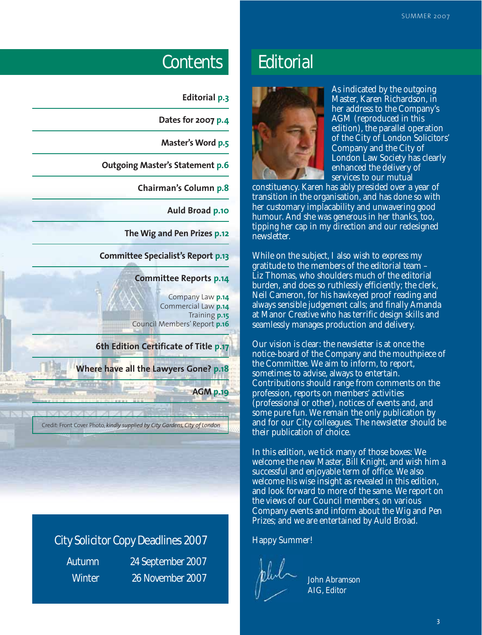## Contents Editorial

| <b>Editorial p.3</b>                                                                     |
|------------------------------------------------------------------------------------------|
| Dates for 2007 p.4                                                                       |
| Master's Word p.5                                                                        |
| <b>Outgoing Master's Statement p.6</b>                                                   |
| <b>Chairman's Column p.8</b>                                                             |
| <b>Auld Broad p.10</b>                                                                   |
| The Wig and Pen Prizes p.12                                                              |
| <b>Committee Specialist's Report p.13</b>                                                |
| <b>Committee Reports p.14</b>                                                            |
| Company Law p.14<br>Commercial Law p.14<br>Training p.15<br>Council Members' Report p.16 |
| 6th Edition Certificate of Title p.17                                                    |
| <b>Where have all the Lawyers Gone? p.18</b>                                             |
| <b>AGM p.19</b>                                                                          |
| Credit: Front Cover Photo, kindly supplied by City Gardens, City of London               |

## City Solicitor Copy Deadlines 2007

Autumn 24 September 2007 Winter 26 November 2007  $\mu$ u $\sim$  John Abramson



As indicated by the outgoing Master, Karen Richardson, in her address to the Company's AGM (reproduced in this edition), the parallel operation of the City of London Solicitors' Company and the City of London Law Society has clearly enhanced the delivery of services to our mutual

constituency. Karen has ably presided over a year of transition in the organisation, and has done so with her customary implacability and unwavering good humour. And she was generous in her thanks, too, tipping her cap in my direction and our redesigned newsletter.

While on the subject, I also wish to express my gratitude to the members of the editorial team – Liz Thomas, who shoulders much of the editorial burden, and does so ruthlessly efficiently; the clerk, Neil Cameron, for his hawkeyed proof reading and always sensible judgement calls; and finally Amanda at Manor Creative who has terrific design skills and seamlessly manages production and delivery.

Our vision is clear: the newsletter is at once the notice-board of the Company and the mouthpiece of the Committee. We aim to inform, to report, sometimes to advise, always to entertain. Contributions should range from comments on the profession, reports on members' activities (professional or other), notices of events and, and some pure fun. We remain the only publication by and for our City colleagues. The newsletter should be their publication of choice.

In this edition, we tick many of those boxes: We welcome the new Master, Bill Knight, and wish him a successful and enjoyable term of office. We also welcome his wise insight as revealed in this edition, and look forward to more of the same. We report on the views of our Council members, on various Company events and inform about the Wig and Pen Prizes; and we are entertained by Auld Broad.

#### Happy Summer!

AIG, Editor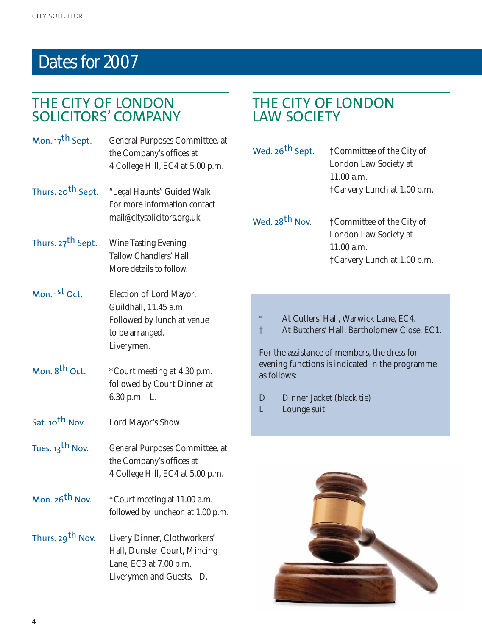## Dates for 2007

## THE CITY OF LONDON SOLICITORS' COMPANY

| Mon. 17 <sup>th</sup> Sept.   | General Purposes Committee, at<br>the Company's offices at<br>4 College Hill, EC4 at 5.00 p.m.                     |
|-------------------------------|--------------------------------------------------------------------------------------------------------------------|
| Thurs. 20 <sup>th</sup> Sept. | "Legal Haunts" Guided Walk<br>For more information contact<br>mail@citysolicitors.org.uk                           |
| Thurs. 27 <sup>th</sup> Sept. | <b>Wine Tasting Evening</b><br><b>Tallow Chandlers' Hall</b><br>More details to follow.                            |
| Mon. 1 <sup>st</sup> Oct.     | Election of Lord Mayor,<br>Guildhall, 11.45 a.m.<br>Followed by lunch at venue<br>to be arranged.<br>Liverymen.    |
| Mon. 8 <sup>th</sup> Oct.     | *Court meeting at 4.30 p.m.<br>followed by Court Dinner at<br>6.30 p.m. L.                                         |
| Sat. 10 <sup>th</sup> Nov.    | Lord Mayor's Show                                                                                                  |
| Tues. 13 <sup>th</sup> Nov.   | General Purposes Committee, at<br>the Company's offices at<br>4 College Hill, EC4 at 5.00 p.m.                     |
| Mon. 26 <sup>th</sup> Nov.    | *Court meeting at 11.00 a.m.<br>followed by luncheon at 1.00 p.m.                                                  |
| Thurs. 29 <sup>th</sup> Nov.  | Livery Dinner, Clothworkers'<br>Hall, Dunster Court, Mincing<br>Lane, EC3 at 7.00 p.m.<br>Liverymen and Guests. D. |

## THE CITY OF LONDON LAW SOCIETY

| Wed. 26 <sup>th</sup> Sept. | †Committee of the City of   |
|-----------------------------|-----------------------------|
|                             | London Law Society at       |
|                             | 11.00 a.m.                  |
|                             | †Carvery Lunch at 1.00 p.m. |

Wed. 28<sup>th</sup> Nov. <sup>†</sup> †Committee of the City of London Law Society at 11.00 a.m. †Carvery Lunch at 1.00 p.m.

- \* At Cutlers' Hall, Warwick Lane, EC4.
- † At Butchers' Hall, Bartholomew Close, EC1.

For the assistance of members, the dress for evening functions is indicated in the programme as follows:

- D Dinner Jacket (black tie)<br>L Lounge suit
- Lounge suit

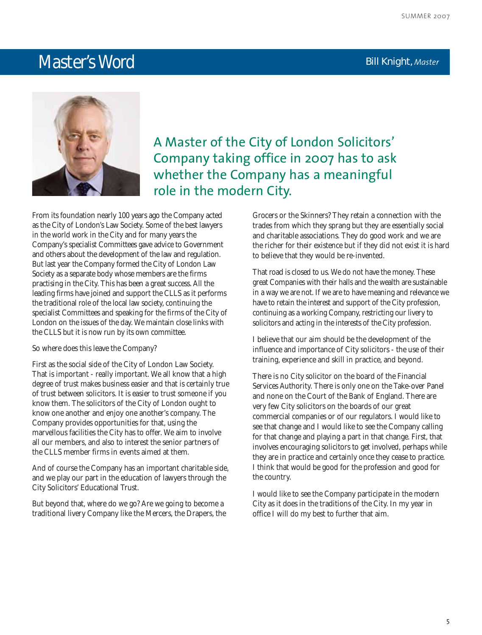## **Master's Word Bill Knight**, *Master* **Bill Knight**, *Master*



A Master of the City of London Solicitors' Company taking office in 2007 has to ask whether the Company has a meaningful role in the modern City.

From its foundation nearly 100 years ago the Company acted as the City of London's Law Society. Some of the best lawyers in the world work in the City and for many years the Company's specialist Committees gave advice to Government and others about the development of the law and regulation. But last year the Company formed the City of London Law Society as a separate body whose members are the firms practising in the City. This has been a great success. All the leading firms have joined and support the CLLS as it performs the traditional role of the local law society, continuing the specialist Committees and speaking for the firms of the City of London on the issues of the day. We maintain close links with the CLLS but it is now run by its own committee.

So where does this leave the Company?

First as the social side of the City of London Law Society. That is important - really important. We all know that a high degree of trust makes business easier and that is certainly true of trust between solicitors. It is easier to trust someone if you know them. The solicitors of the City of London ought to know one another and enjoy one another's company. The Company provides opportunities for that, using the marvellous facilities the City has to offer. We aim to involve all our members, and also to interest the senior partners of the CLLS member firms in events aimed at them.

And of course the Company has an important charitable side, and we play our part in the education of lawyers through the City Solicitors' Educational Trust.

But beyond that, where do we go? Are we going to become a traditional livery Company like the Mercers, the Drapers, the Grocers or the Skinners? They retain a connection with the trades from which they sprang but they are essentially social and charitable associations. They do good work and we are the richer for their existence but if they did not exist it is hard to believe that they would be re-invented.

That road is closed to us. We do not have the money. These great Companies with their halls and the wealth are sustainable in a way we are not. If we are to have meaning and relevance we have to retain the interest and support of the City profession, continuing as a working Company, restricting our livery to solicitors and acting in the interests of the City profession.

I believe that our aim should be the development of the influence and importance of City solicitors - the use of their training, experience and skill in practice, and beyond.

There is no City solicitor on the board of the Financial Services Authority. There is only one on the Take-over Panel and none on the Court of the Bank of England. There are very few City solicitors on the boards of our great commercial companies or of our regulators. I would like to see that change and I would like to see the Company calling for that change and playing a part in that change. First, that involves encouraging solicitors to get involved, perhaps while they are in practice and certainly once they cease to practice. I think that would be good for the profession and good for the country.

I would like to see the Company participate in the modern City as it does in the traditions of the City. In my year in office I will do my best to further that aim.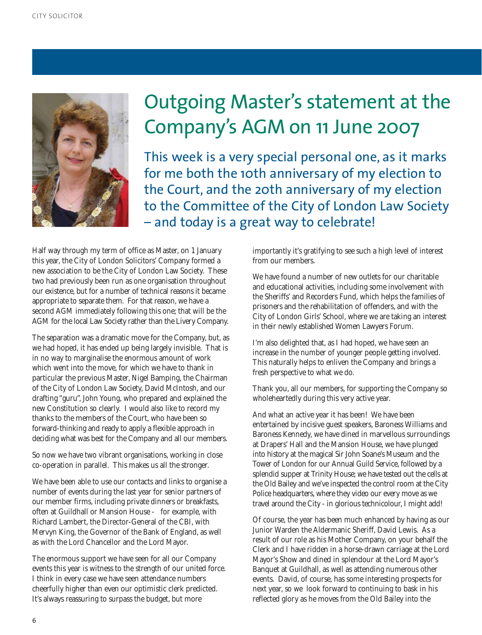

# Outgoing Master's statement at the Company's AGM on 11 June 2007

This week is a very special personal one, as it marks for me both the 10th anniversary of my election to the Court, and the 20th anniversary of my election to the Committee of the City of London Law Society – and today is a great way to celebrate!

Half way through my term of office as Master, on 1 January this year, the City of London Solicitors' Company formed a new association to be the City of London Law Society. These two had previously been run as one organisation throughout our existence, but for a number of technical reasons it became appropriate to separate them. For that reason, we have a second AGM immediately following this one; that will be the AGM for the local Law Society rather than the Livery Company.

The separation was a dramatic move for the Company, but, as we had hoped, it has ended up being largely invisible. That is in no way to marginalise the enormous amount of work which went into the move, for which we have to thank in particular the previous Master, Nigel Bamping, the Chairman of the City of London Law Society, David McIntosh, and our drafting "guru", John Young, who prepared and explained the new Constitution so clearly. I would also like to record my thanks to the members of the Court, who have been so forward-thinking and ready to apply a flexible approach in deciding what was best for the Company and all our members.

So now we have two vibrant organisations, working in close co-operation in parallel. This makes us all the stronger.

We have been able to use our contacts and links to organise a number of events during the last year for senior partners of our member firms, including private dinners or breakfasts, often at Guildhall or Mansion House - for example, with Richard Lambert, the Director-General of the CBI, with Mervyn King, the Governor of the Bank of England, as well as with the Lord Chancellor and the Lord Mayor.

The enormous support we have seen for all our Company events this year is witness to the strength of our united force. I think in every case we have seen attendance numbers cheerfully higher than even our optimistic clerk predicted. It's always reassuring to surpass the budget, but more

importantly it's gratifying to see such a high level of interest from our members.

We have found a number of new outlets for our charitable and educational activities, including some involvement with the Sheriffs' and Recorders Fund, which helps the families of prisoners and the rehabilitation of offenders, and with the City of London Girls' School, where we are taking an interest in their newly established Women Lawyers Forum.

I'm also delighted that, as I had hoped, we have seen an increase in the number of younger people getting involved. This naturally helps to enliven the Company and brings a fresh perspective to what we do.

Thank you, all our members, for supporting the Company so wholeheartedly during this very active year.

And what an active year it has been! We have been entertained by incisive guest speakers, Baroness Williams and Baroness Kennedy, we have dined in marvellous surroundings at Drapers' Hall and the Mansion House, we have plunged into history at the magical Sir John Soane's Museum and the Tower of London for our Annual Guild Service, followed by a splendid supper at Trinity House; we have tested out the cells at the Old Bailey and we've inspected the control room at the City Police headquarters, where they video our every move as we travel around the City - in glorious technicolour, I might add!

Of course, the year has been much enhanced by having as our Junior Warden the Aldermanic Sheriff, David Lewis. As a result of our role as his Mother Company, on your behalf the Clerk and I have ridden in a horse-drawn carriage at the Lord Mayor's Show and dined in splendour at the Lord Mayor's Banquet at Guildhall, as well as attending numerous other events. David, of course, has some interesting prospects for next year, so we look forward to continuing to bask in his reflected glory as he moves from the Old Bailey into the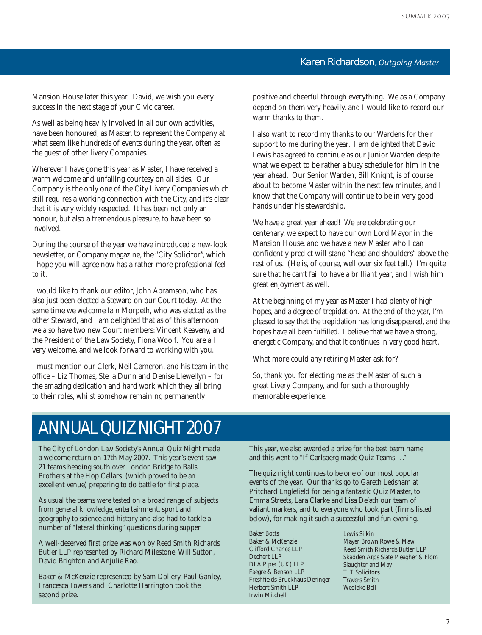7

## **Karen Richardson,** *Outgoing Master*

Mansion House later this year. David, we wish you every success in the next stage of your Civic career.

As well as being heavily involved in all our own activities, I have been honoured, as Master, to represent the Company at what seem like hundreds of events during the year, often as the guest of other livery Companies.

Wherever I have gone this year as Master, I have received a warm welcome and unfailing courtesy on all sides. Our Company is the only one of the City Livery Companies which still requires a working connection with the City, and it's clear that it is very widely respected. It has been not only an honour, but also a tremendous pleasure, to have been so involved.

During the course of the year we have introduced a new-look newsletter, or Company magazine, the "City Solicitor", which I hope you will agree now has a rather more professional feel to it.

I would like to thank our editor, John Abramson, who has also just been elected a Steward on our Court today. At the same time we welcome Iain Morpeth, who was elected as the other Steward, and I am delighted that as of this afternoon we also have two new Court members: Vincent Keaveny, and the President of the Law Society, Fiona Woolf. You are all very welcome, and we look forward to working with you.

I must mention our Clerk, Neil Cameron, and his team in the office – Liz Thomas, Stella Dunn and Denise Llewellyn – for the amazing dedication and hard work which they all bring to their roles, whilst somehow remaining permanently

positive and cheerful through everything. We as a Company depend on them very heavily, and I would like to record our warm thanks to them.

I also want to record my thanks to our Wardens for their support to me during the year. I am delighted that David Lewis has agreed to continue as our Junior Warden despite what we expect to be rather a busy schedule for him in the year ahead. Our Senior Warden, Bill Knight, is of course about to become Master within the next few minutes, and I know that the Company will continue to be in very good hands under his stewardship.

We have a great year ahead! We are celebrating our centenary, we expect to have our own Lord Mayor in the Mansion House, and we have a new Master who I can confidently predict will stand "head and shoulders" above the rest of us. (He is, of course, well over six feet tall.) I'm quite sure that he can't fail to have a brilliant year, and I wish him great enjoyment as well.

At the beginning of my year as Master I had plenty of high hopes, and a degree of trepidation. At the end of the year, I'm pleased to say that the trepidation has long disappeared, and the hopes have all been fulfilled. I believe that we have a strong, energetic Company, and that it continues in very good heart.

What more could any retiring Master ask for?

So, thank you for electing me as the Master of such a great Livery Company, and for such a thoroughly memorable experience.

## ANNUAL QUIZ NIGHT 2007

The City of London Law Society's Annual Quiz Night made a welcome return on 17th May 2007. This year's event saw 21 teams heading south over London Bridge to Balls Brothers at the Hop Cellars (which proved to be an excellent venue) preparing to do battle for first place.

As usual the teams were tested on a broad range of subjects from general knowledge, entertainment, sport and geography to science and history and also had to tackle a number of "lateral thinking" questions during supper.

A well-deserved first prize was won by Reed Smith Richards Butler LLP represented by Richard Milestone, Will Sutton, David Brighton and Anjulie Rao.

Baker & McKenzie represented by Sam Dollery, Paul Ganley, Francesca Towers and Charlotte Harrington took the second prize.

This year, we also awarded a prize for the best team name and this went to "If Carlsberg made Quiz Teams…."

The quiz night continues to be one of our most popular events of the year. Our thanks go to Gareth Ledsham at Pritchard Englefield for being a fantastic Quiz Master, to Emma Streets, Lara Clarke and Lisa De'ath our team of valiant markers, and to everyone who took part (firms listed below), for making it such a successful and fun evening.

Baker Botts Baker & McKenzie Clifford Chance LLP Dechert LLP DLA Piper (UK) LLP Faegre & Benson LLP Freshfields Bruckhaus Deringer Herbert Smith LLP Irwin Mitchell

Lewis Silkin Mayer Brown Rowe & Maw Reed Smith Richards Butler LLP Skadden Arps Slate Meagher & Flom Slaughter and May TLT Solicitors Travers Smith Wedlake Bell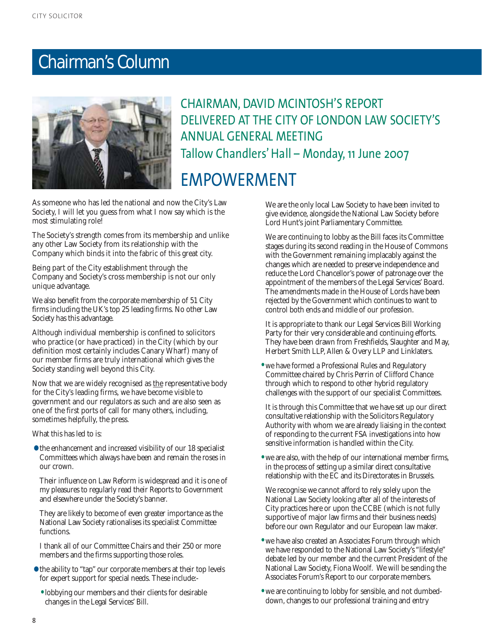## Chairman's Column



## CHAIRMAN, DAVID MCINTOSH'S REPORT DELIVERED AT THE CITY OF LONDON LAW SOCIETY'S ANNUAL GENERAL MEETING Tallow Chandlers' Hall – Monday, 11 June 2007 EMPOWERMENT

As someone who has led the national and now the City's Law Society, I will let you guess from what I now say which is the most stimulating role!

The Society's strength comes from its membership and unlike any other Law Society from its relationship with the Company which binds it into the fabric of this great city.

Being part of the City establishment through the Company and Society's cross membership is not our only unique advantage.

We also benefit from the corporate membership of 51 City firms including the UK's top 25 leading firms. No other Law Society has this advantage.

Although individual membership is confined to solicitors who practice (or have practiced) in the City (which by our definition most certainly includes Canary Wharf) many of our member firms are truly international which gives the Society standing well beyond this City.

Now that we are widely recognised as the representative body for the City's leading firms, we have become visible to government and our regulators as such and are also seen as one of the first ports of call for many others, including, sometimes helpfully, the press.

What this has led to is:

• the enhancement and increased visibility of our 18 specialist Committees which always have been and remain the roses in our crown.

Their influence on Law Reform is widespread and it is one of my pleasures to regularly read their Reports to Government and elsewhere under the Society's banner.

They are likely to become of even greater importance as the National Law Society rationalises its specialist Committee functions.

I thank all of our Committee Chairs and their 250 or more members and the firms supporting those roles.

- the ability to "tap" our corporate members at their top levels for expert support for special needs. These include:-
	- lobbying our members and their clients for desirable changes in the Legal Services' Bill.

We are the only local Law Society to have been invited to give evidence, alongside the National Law Society before Lord Hunt's joint Parliamentary Committee.

We are continuing to lobby as the Bill faces its Committee stages during its second reading in the House of Commons with the Government remaining implacably against the changes which are needed to preserve independence and reduce the Lord Chancellor's power of patronage over the appointment of the members of the Legal Services' Board. The amendments made in the House of Lords have been rejected by the Government which continues to want to control both ends and middle of our profession.

It is appropriate to thank our Legal Services Bill Working Party for their very considerable and continuing efforts. They have been drawn from Freshfields, Slaughter and May, Herbert Smith LLP, Allen & Overy LLP and Linklaters.

• we have formed a Professional Rules and Regulatory Committee chaired by Chris Perrin of Clifford Chance through which to respond to other hybrid regulatory challenges with the support of our specialist Committees.

It is through this Committee that we have set up our direct consultative relationship with the Solicitors Regulatory Authority with whom we are already liaising in the context of responding to the current FSA investigations into how sensitive information is handled within the City.

• we are also, with the help of our international member firms, in the process of setting up a similar direct consultative relationship with the EC and its Directorates in Brussels.

We recognise we cannot afford to rely solely upon the National Law Society looking after all of the interests of City practices here or upon the CCBE (which is not fully supportive of major law firms and their business needs) before our own Regulator and our European law maker.

- we have also created an Associates Forum through which we have responded to the National Law Society's "lifestyle" debate led by our member and the current President of the National Law Society, Fiona Woolf. We will be sending the Associates Forum's Report to our corporate members.
- we are continuing to lobby for sensible, and not dumbeddown, changes to our professional training and entry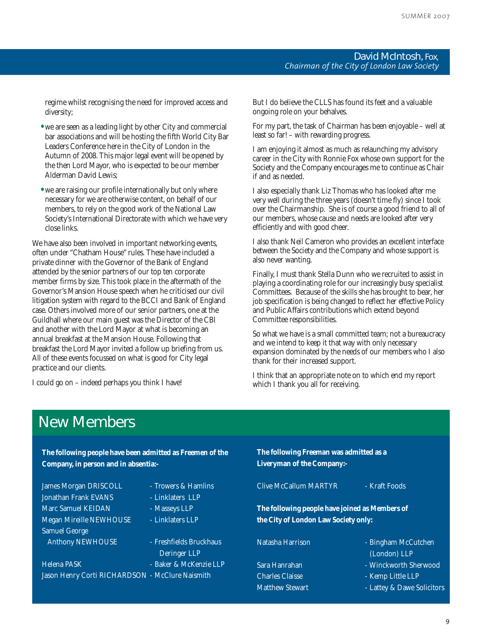#### **David McIntosh,** Fox*, Chairman of the City of London Law Society*

regime whilst recognising the need for improved access and diversity;

- we are seen as a leading light by other City and commercial bar associations and will be hosting the fifth World City Bar Leaders Conference here in the City of London in the Autumn of 2008. This major legal event will be opened by the then Lord Mayor, who is expected to be our member Alderman David Lewis;
- we are raising our profile internationally but only where necessary for we are otherwise content, on behalf of our members, to rely on the good work of the National Law Society's International Directorate with which we have very close links.

We have also been involved in important networking events, often under "Chatham House" rules. These have included a private dinner with the Governor of the Bank of England attended by the senior partners of our top ten corporate member firms by size. This took place in the aftermath of the Governor's Mansion House speech when he criticised our civil litigation system with regard to the BCCI and Bank of England case. Others involved more of our senior partners, one at the Guildhall where our main guest was the Director of the CBI and another with the Lord Mayor at what is becoming an annual breakfast at the Mansion House. Following that breakfast the Lord Mayor invited a follow up briefing from us. All of these events focussed on what is good for City legal practice and our clients.

I could go on – indeed perhaps you think I have!

But I do believe the CLLS has found its feet and a valuable ongoing role on your behalves.

For my part, the task of Chairman has been enjoyable – well at least so far! – with rewarding progress.

I am enjoying it almost as much as relaunching my advisory career in the City with Ronnie Fox whose own support for the Society and the Company encourages me to continue as Chair if and as needed.

I also especially thank Liz Thomas who has looked after me very well during the three years (doesn't time fly) since I took over the Chairmanship. She is of course a good friend to all of our members, whose cause and needs are looked after very efficiently and with good cheer.

I also thank Neil Cameron who provides an excellent interface between the Society and the Company and whose support is also never wanting.

Finally, I must thank Stella Dunn who we recruited to assist in playing a coordinating role for our increasingly busy specialist Committees. Because of the skills she has brought to bear, her job specification is being changed to reflect her effective Policy and Public Affairs contributions which extend beyond Committee responsibilities.

So what we have is a small committed team; not a bureaucracy and we intend to keep it that way with only necessary expansion dominated by the needs of our members who I also thank for their increased support.

I think that an appropriate note on to which end my report which I thank you all for receiving.

## New Members

**The following people have been admitted as Freemen of the Company, in person and in absentia:-** James Morgan DRISCOLL - Trowers & Hamlins Jonathan Frank EVANS - Linklaters LLP Marc Samuel KEIDAN - Masseys LLP Megan Mireille NEWHOUSE - Linklaters LLP Samuel George Anthony NEWHOUSE - Freshfields Bruckhaus Deringer LLP Helena PASK - Baker & McKenzie LLP Jason Henry Corti RICHARDSON - McClure Naismith **The following Freeman was admitted as a Liveryman of the Company:-** Clive McCallum MARTYR - Kraft Foods **The following people have joined as Members of the City of London Law Society only:** Natasha Harrison - Bingham McCutchen (London) LLP Sara Hanrahan - Winckworth Sherwood Charles Claisse - Kemp Little LLP Matthew Stewart **- Lattey & Dawe Solicitors** 

9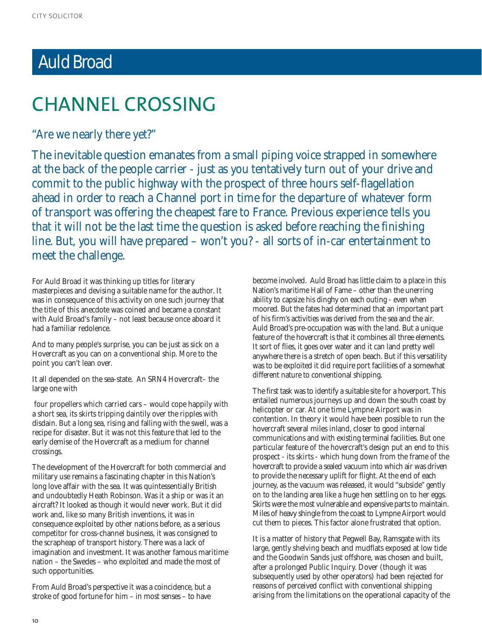## Auld Broad

## CHANNEL CROSSING

"Are we nearly there yet?"

The inevitable question emanates from a small piping voice strapped in somewhere at the back of the people carrier - just as you tentatively turn out of your drive and commit to the public highway with the prospect of three hours self-flagellation ahead in order to reach a Channel port in time for the departure of whatever form of transport was offering the cheapest fare to France. Previous experience tells you that it will not be the last time the question is asked before reaching the finishing line. But, you will have prepared – won't you? - all sorts of in-car entertainment to meet the challenge.

For Auld Broad it was thinking up titles for literary masterpieces and devising a suitable name for the author. It was in consequence of this activity on one such journey that the title of this anecdote was coined and became a constant with Auld Broad's family – not least because once aboard it had a familiar redolence.

And to many people's surprise, you can be just as sick on a Hovercraft as you can on a conventional ship. More to the point you can't lean over.

It all depended on the sea-state. An SRN4 Hovercraft– the large one with

four propellers which carried cars – would cope happily with a short sea, its skirts tripping daintily over the ripples with disdain. But a long sea, rising and falling with the swell, was a recipe for disaster. But it was not this feature that led to the early demise of the Hovercraft as a medium for channel crossings.

The development of the Hovercraft for both commercial and military use remains a fascinating chapter in this Nation's long love affair with the sea. It was quintessentially British and undoubtedly Heath Robinson. Was it a ship or was it an aircraft? It looked as though it would never work. But it did work and, like so many British inventions, it was in consequence exploited by other nations before, as a serious competitor for cross-channel business, it was consigned to the scrapheap of transport history. There was a lack of imagination and investment. It was another famous maritime nation – the Swedes – who exploited and made the most of such opportunities.

From Auld Broad's perspective it was a coincidence, but a stroke of good fortune for him – in most senses – to have become involved. Auld Broad has little claim to a place in this Nation's maritime Hall of Fame – other than the unerring ability to capsize his dinghy on each outing - even when moored. But the fates had determined that an important part of his firm's activities was derived from the sea and the air. Auld Broad's pre-occupation was with the land. But a unique feature of the hovercraft is that it combines all three elements. It sort of flies, it goes over water and it can land pretty well anywhere there is a stretch of open beach. But if this versatility was to be exploited it did require port facilities of a somewhat different nature to conventional shipping.

The first task was to identify a suitable site for a hoverport. This entailed numerous journeys up and down the south coast by helicopter or car. At one time Lympne Airport was in contention. In theory it would have been possible to run the hovercraft several miles inland, closer to good internal communications and with existing terminal facilities. But one particular feature of the hovercraft's design put an end to this prospect - its skirts - which hung down from the frame of the hovercraft to provide a sealed vacuum into which air was driven to provide the necessary uplift for flight. At the end of each journey, as the vacuum was released, it would "subside" gently on to the landing area like a huge hen settling on to her eggs. Skirts were the most vulnerable and expensive parts to maintain. Miles of heavy shingle from the coast to Lympne Airport would cut them to pieces. This factor alone frustrated that option.

It is a matter of history that Pegwell Bay, Ramsgate with its large, gently shelving beach and mudflats exposed at low tide and the Goodwin Sands just offshore, was chosen and built, after a prolonged Public Inquiry. Dover (though it was subsequently used by other operators) had been rejected for reasons of perceived conflict with conventional shipping arising from the limitations on the operational capacity of the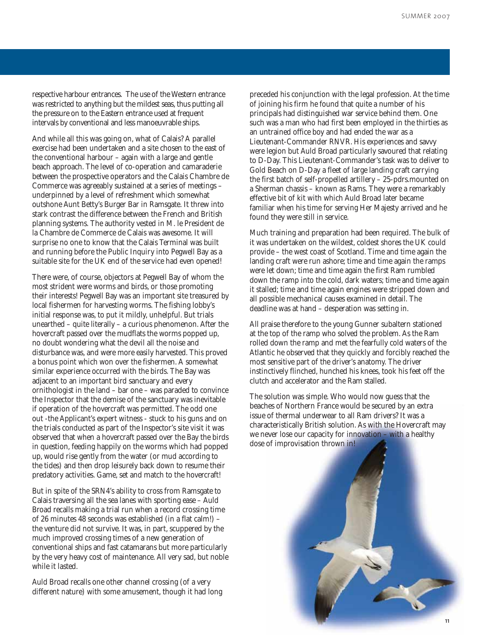respective harbour entrances. The use of the Western entrance was restricted to anything but the mildest seas, thus putting all the pressure on to the Eastern entrance used at frequent intervals by conventional and less manoeuvrable ships.

And while all this was going on, what of Calais? A parallel exercise had been undertaken and a site chosen to the east of the conventional harbour – again with a large and gentle beach approach. The level of co-operation and camaraderie between the prospective operators and the Calais Chambre de Commerce was agreeably sustained at a series of meetings – underpinned by a level of refreshment which somewhat outshone Aunt Betty's Burger Bar in Ramsgate. It threw into stark contrast the difference between the French and British planning systems. The authority vested in M. le President de la Chambre de Commerce de Calais was awesome. It will surprise no one to know that the Calais Terminal was built and running before the Public Inquiry into Pegwell Bay as a suitable site for the UK end of the service had even opened!

There were, of course, objectors at Pegwell Bay of whom the most strident were worms and birds, or those promoting their interests! Pegwell Bay was an important site treasured by local fishermen for harvesting worms. The fishing lobby's initial response was, to put it mildly, unhelpful. But trials unearthed – quite literally – a curious phenomenon. After the hovercraft passed over the mudflats the worms popped up, no doubt wondering what the devil all the noise and disturbance was, and were more easily harvested. This proved a bonus point which won over the fishermen. A somewhat similar experience occurred with the birds. The Bay was adjacent to an important bird sanctuary and every ornithologist in the land – bar one – was paraded to convince the Inspector that the demise of the sanctuary was inevitable if operation of the hovercraft was permitted. The odd one out -the Applicant's expert witness - stuck to his guns and on the trials conducted as part of the Inspector's site visit it was observed that when a hovercraft passed over the Bay the birds in question, feeding happily on the worms which had popped up, would rise gently from the water (or mud according to the tides) and then drop leisurely back down to resume their predatory activities. Game, set and match to the hovercraft!

But in spite of the SRN4's ability to cross from Ramsgate to Calais traversing all the sea lanes with sporting ease – Auld Broad recalls making a trial run when a record crossing time of 26 minutes 48 seconds was established (in a flat calm!) – the venture did not survive. It was, in part, scuppered by the much improved crossing times of a new generation of conventional ships and fast catamarans but more particularly by the very heavy cost of maintenance. All very sad, but noble while it lasted.

Auld Broad recalls one other channel crossing (of a very different nature) with some amusement, though it had long

preceded his conjunction with the legal profession. At the time of joining his firm he found that quite a number of his principals had distinguished war service behind them. One such was a man who had first been employed in the thirties as an untrained office boy and had ended the war as a Lieutenant-Commander RNVR. His experiences and savvy were legion but Auld Broad particularly savoured that relating to D-Day. This Lieutenant-Commander's task was to deliver to Gold Beach on D-Day a fleet of large landing craft carrying the first batch of self-propelled artillery – 25-pdrs.mounted on a Sherman chassis – known as Rams. They were a remarkably effective bit of kit with which Auld Broad later became familiar when his time for serving Her Majesty arrived and he found they were still in service.

Much training and preparation had been required. The bulk of it was undertaken on the wildest, coldest shores the UK could provide – the west coast of Scotland. Time and time again the landing craft were run ashore; time and time again the ramps were let down; time and time again the first Ram rumbled down the ramp into the cold, dark waters; time and time again it stalled; time and time again engines were stripped down and all possible mechanical causes examined in detail. The deadline was at hand – desperation was setting in.

All praise therefore to the young Gunner subaltern stationed at the top of the ramp who solved the problem. As the Ram rolled down the ramp and met the fearfully cold waters of the Atlantic he observed that they quickly and forcibly reached the most sensitive part of the driver's anatomy. The driver instinctively flinched, hunched his knees, took his feet off the clutch and accelerator and the Ram stalled.

The solution was simple. Who would now guess that the beaches of Northern France would be secured by an extra issue of thermal underwear to all Ram drivers? It was a characteristically British solution. As with the Hovercraft may we never lose our capacity for innovation – with a healthy dose of improvisation thrown in!

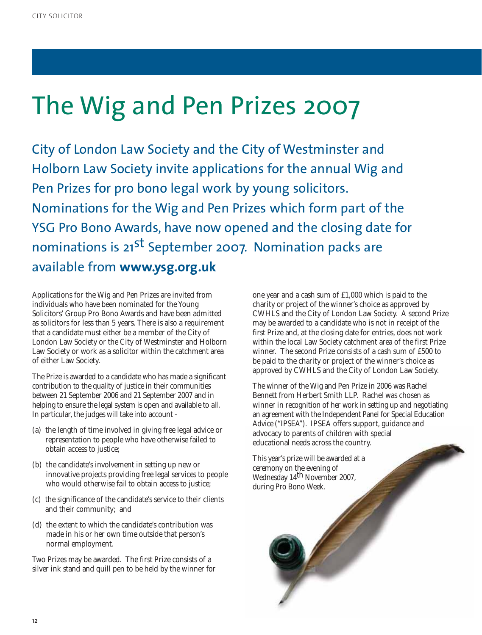# The Wig and Pen Prizes 2007

City of London Law Society and the City of Westminster and Holborn Law Society invite applications for the annual Wig and Pen Prizes for pro bono legal work by young solicitors. Nominations for the Wig and Pen Prizes which form part of the YSG Pro Bono Awards, have now opened and the closing date for nominations is 21<sup>st</sup> September 2007. Nomination packs are available from **www.ysg.org.uk**

Applications for the Wig and Pen Prizes are invited from individuals who have been nominated for the Young Solicitors' Group Pro Bono Awards and have been admitted as solicitors for less than 5 years. There is also a requirement that a candidate must either be a member of the City of London Law Society or the City of Westminster and Holborn Law Society or work as a solicitor within the catchment area of either Law Society.

The Prize is awarded to a candidate who has made a significant contribution to the quality of justice in their communities between 21 September 2006 and 21 September 2007 and in helping to ensure the legal system is open and available to all. In particular, the judges will take into account -

- (a) the length of time involved in giving free legal advice or representation to people who have otherwise failed to obtain access to justice;
- (b) the candidate's involvement in setting up new or innovative projects providing free legal services to people who would otherwise fail to obtain access to justice;
- (c) the significance of the candidate's service to their clients and their community; and
- (d) the extent to which the candidate's contribution was made in his or her own time outside that person's normal employment.

Two Prizes may be awarded. The first Prize consists of a silver ink stand and quill pen to be held by the winner for one year and a cash sum of £1,000 which is paid to the charity or project of the winner's choice as approved by CWHLS and the City of London Law Society. A second Prize may be awarded to a candidate who is not in receipt of the first Prize and, at the closing date for entries, does not work within the local Law Society catchment area of the first Prize winner. The second Prize consists of a cash sum of £500 to be paid to the charity or project of the winner's choice as approved by CWHLS and the City of London Law Society.

The winner of the Wig and Pen Prize in 2006 was Rachel Bennett from Herbert Smith LLP. Rachel was chosen as winner in recognition of her work in setting up and negotiating an agreement with the Independent Panel for Special Education Advice ("IPSEA"). IPSEA offers support, guidance and advocacy to parents of children with special educational needs across the country.

This year's prize will be awarded at a ceremony on the evening of Wednesday 14<sup>th</sup> November 2007, during Pro Bono Week.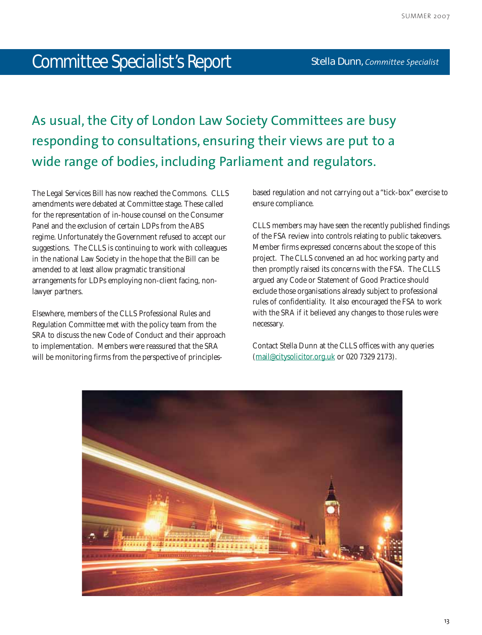## Committee Specialist's Report

As usual, the City of London Law Society Committees are busy responding to consultations, ensuring their views are put to a wide range of bodies, including Parliament and regulators.

The Legal Services Bill has now reached the Commons. CLLS amendments were debated at Committee stage. These called for the representation of in-house counsel on the Consumer Panel and the exclusion of certain LDPs from the ABS regime. Unfortunately the Government refused to accept our suggestions. The CLLS is continuing to work with colleagues in the national Law Society in the hope that the Bill can be amended to at least allow pragmatic transitional arrangements for LDPs employing non-client facing, nonlawyer partners.

Elsewhere, members of the CLLS Professional Rules and Regulation Committee met with the policy team from the SRA to discuss the new Code of Conduct and their approach to implementation. Members were reassured that the SRA will be monitoring firms from the perspective of principlesbased regulation and not carrying out a "tick-box" exercise to ensure compliance.

CLLS members may have seen the recently published findings of the FSA review into controls relating to public takeovers. Member firms expressed concerns about the scope of this project. The CLLS convened an ad hoc working party and then promptly raised its concerns with the FSA. The CLLS argued any Code or Statement of Good Practice should exclude those organisations already subject to professional rules of confidentiality. It also encouraged the FSA to work with the SRA if it believed any changes to those rules were necessary.

Contact Stella Dunn at the CLLS offices with any queries (mail@citysolicitor.org.uk or 020 7329 2173).

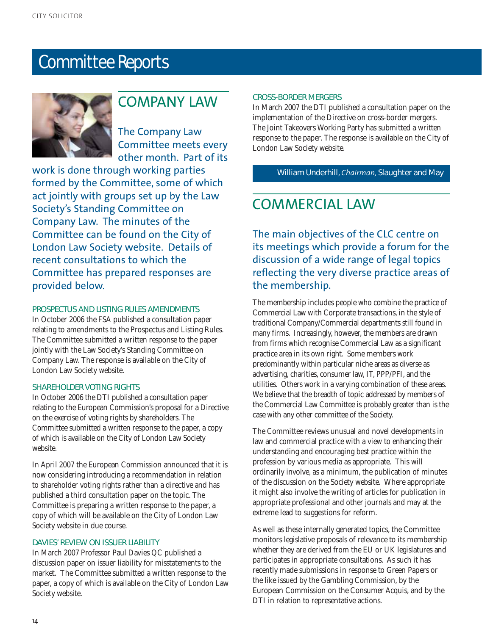## Committee Reports



## COMPANY LAW

The Company Law Committee meets every other month. Part of its

work is done through working parties formed by the Committee, some of which act jointly with groups set up by the Law Society's Standing Committee on Company Law. The minutes of the Committee can be found on the City of London Law Society website. Details of recent consultations to which the Committee has prepared responses are provided below.

#### **PROSPECTUS AND LISTING RULES AMENDMENTS**

In October 2006 the FSA published a consultation paper relating to amendments to the Prospectus and Listing Rules. The Committee submitted a written response to the paper jointly with the Law Society's Standing Committee on Company Law. The response is available on the City of London Law Society website.

#### **SHAREHOLDER VOTING RIGHTS**

In October 2006 the DTI published a consultation paper relating to the European Commission's proposal for a Directive on the exercise of voting rights by shareholders. The Committee submitted a written response to the paper, a copy of which is available on the City of London Law Society website.

In April 2007 the European Commission announced that it is now considering introducing a recommendation in relation to shareholder voting rights rather than a directive and has published a third consultation paper on the topic. The Committee is preparing a written response to the paper, a copy of which will be available on the City of London Law Society website in due course.

#### **DAVIES' REVIEW ON ISSUER LIABILITY**

In March 2007 Professor Paul Davies QC published a discussion paper on issuer liability for misstatements to the market. The Committee submitted a written response to the paper, a copy of which is available on the City of London Law Society website.

#### **CROSS-BORDER MERGERS**

In March 2007 the DTI published a consultation paper on the implementation of the Directive on cross-border mergers. The Joint Takeovers Working Party has submitted a written response to the paper. The response is available on the City of London Law Society website.

#### **William Underhill,** *Chairman,* Slaughter and May

## COMMERCIAL LAW

The main objectives of the CLC centre on its meetings which provide a forum for the discussion of a wide range of legal topics reflecting the very diverse practice areas of the membership.

The membership includes people who combine the practice of Commercial Law with Corporate transactions, in the style of traditional Company/Commercial departments still found in many firms. Increasingly, however, the members are drawn from firms which recognise Commercial Law as a significant practice area in its own right. Some members work predominantly within particular niche areas as diverse as advertising, charities, consumer law, IT, PPP/PFI, and the utilities. Others work in a varying combination of these areas. We believe that the breadth of topic addressed by members of the Commercial Law Committee is probably greater than is the case with any other committee of the Society.

The Committee reviews unusual and novel developments in law and commercial practice with a view to enhancing their understanding and encouraging best practice within the profession by various media as appropriate. This will ordinarily involve, as a minimum, the publication of minutes of the discussion on the Society website. Where appropriate it might also involve the writing of articles for publication in appropriate professional and other journals and may at the extreme lead to suggestions for reform.

As well as these internally generated topics, the Committee monitors legislative proposals of relevance to its membership whether they are derived from the EU or UK legislatures and participates in appropriate consultations. As such it has recently made submissions in response to Green Papers or the like issued by the Gambling Commission, by the European Commission on the Consumer Acquis, and by the DTI in relation to representative actions.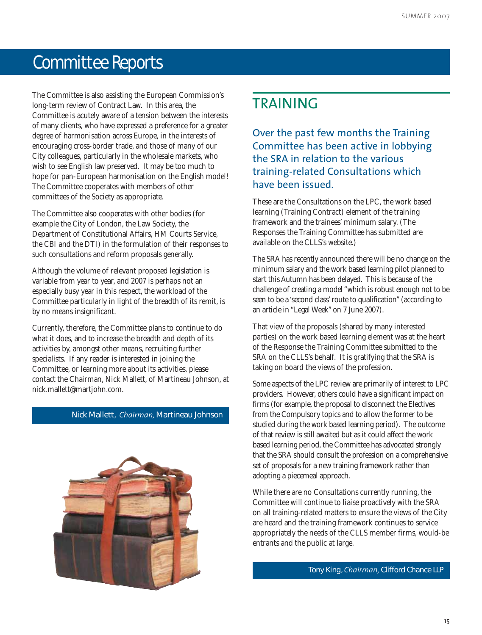## Committee Reports

The Committee is also assisting the European Commission's long-term review of Contract Law. In this area, the Committee is acutely aware of a tension between the interests of many clients, who have expressed a preference for a greater degree of harmonisation across Europe, in the interests of encouraging cross-border trade, and those of many of our City colleagues, particularly in the wholesale markets, who wish to see English law preserved. It may be too much to hope for pan-European harmonisation on the English model! The Committee cooperates with members of other committees of the Society as appropriate.

The Committee also cooperates with other bodies (for example the City of London, the Law Society, the Department of Constitutional Affairs, HM Courts Service, the CBI and the DTI) in the formulation of their responses to such consultations and reform proposals generally.

Although the volume of relevant proposed legislation is variable from year to year, and 2007 is perhaps not an especially busy year in this respect, the workload of the Committee particularly in light of the breadth of its remit, is by no means insignificant.

Currently, therefore, the Committee plans to continue to do what it does, and to increase the breadth and depth of its activities by, amongst other means, recruiting further specialists. If any reader is interested in joining the Committee, or learning more about its activities, please contact the Chairman, Nick Mallett, of Martineau Johnson, at nick.mallett@martjohn.com.

#### **Nick Mallett,** *Chairman,* Martineau Johnson



## TRAINING

Over the past few months the Training Committee has been active in lobbying the SRA in relation to the various training-related Consultations which have been issued.

These are the Consultations on the LPC, the work based learning (Training Contract) element of the training framework and the trainees' minimum salary. (The Responses the Training Committee has submitted are available on the CLLS's website.)

The SRA has recently announced there will be no change on the minimum salary and the work based learning pilot planned to start this Autumn has been delayed. This is because of the challenge of creating a model "which is robust enough not to be seen to be a 'second class' route to qualification" (according to an article in "Legal Week" on 7 June 2007).

That view of the proposals (shared by many interested parties) on the work based learning element was at the heart of the Response the Training Committee submitted to the SRA on the CLLS's behalf. It is gratifying that the SRA is taking on board the views of the profession.

Some aspects of the LPC review are primarily of interest to LPC providers. However, others could have a significant impact on firms (for example, the proposal to disconnect the Electives from the Compulsory topics and to allow the former to be studied during the work based learning period). The outcome of that review is still awaited but as it could affect the work based learning period, the Committee has advocated strongly that the SRA should consult the profession on a comprehensive set of proposals for a new training framework rather than adopting a piecemeal approach.

While there are no Consultations currently running, the Committee will continue to liaise proactively with the SRA on all training-related matters to ensure the views of the City are heard and the training framework continues to service appropriately the needs of the CLLS member firms, would-be entrants and the public at large.

**Tony King,** *Chairman,* Clifford Chance LLP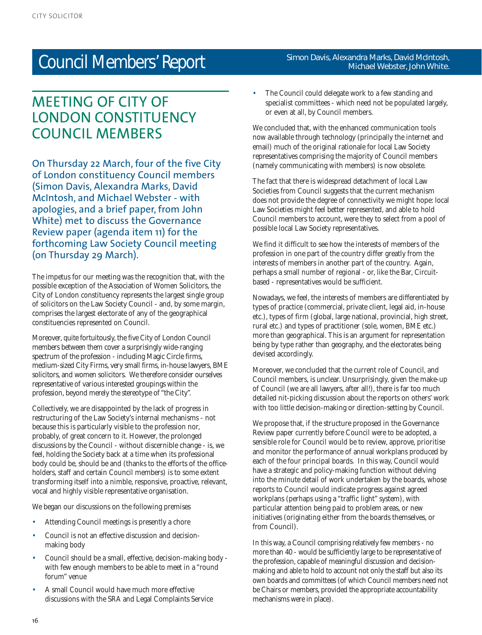## Council Members' Report

## MEETING OF CITY OF LONDON CONSTITUENCY COUNCIL MEMBERS

On Thursday 22 March, four of the five City of London constituency Council members (Simon Davis, Alexandra Marks, David McIntosh, and Michael Webster - with apologies, and a brief paper, from John White) met to discuss the Governance Review paper (agenda item 11) for the forthcoming Law Society Council meeting (on Thursday 29 March).

The impetus for our meeting was the recognition that, with the possible exception of the Association of Women Solicitors, the City of London constituency represents the largest single group of solicitors on the Law Society Council - and, by some margin, comprises the largest electorate of any of the geographical constituencies represented on Council.

Moreover, quite fortuitously, the five City of London Council members between them cover a surprisingly wide-ranging spectrum of the profession - including Magic Circle firms, medium-sized City Firms, very small firms, in-house lawyers, BME solicitors, and women solicitors. We therefore consider ourselves representative of various interested groupings within the profession, beyond merely the stereotype of "the City".

Collectively, we are disappointed by the lack of progress in restructuring of the Law Society's internal mechanisms - not because this is particularly visible to the profession nor, probably, of great concern to it. However, the prolonged discussions by the Council - without discernible change - is, we feel, holding the Society back at a time when its professional body could be, should be and (thanks to the efforts of the officeholders, staff and certain Council members) is to some extent transforming itself into a nimble, responsive, proactive, relevant, vocal and highly visible representative organisation.

We began our discussions on the following premises

- Attending Council meetings is presently a chore
- Council is not an effective discussion and decisionmaking body
- Council should be a small, effective, decision-making body with few enough members to be able to meet in a "round forum" venue
- A small Council would have much more effective discussions with the SRA and Legal Complaints Service

#### **Simon Davis, Alexandra Marks, David McIntosh, Michael Webster, John White.**

The Council could delegate work to a few standing and specialist committees - which need not be populated largely, or even at all, by Council members.

We concluded that, with the enhanced communication tools now available through technology (principally the internet and email) much of the original rationale for local Law Society representatives comprising the majority of Council members (namely communicating with members) is now obsolete.

The fact that there is widespread detachment of local Law Societies from Council suggests that the current mechanism does not provide the degree of connectivity we might hope: local Law Societies might feel better represented, and able to hold Council members to account, were they to select from a pool of possible local Law Society representatives.

We find it difficult to see how the interests of members of the profession in one part of the country differ greatly from the interests of members in another part of the country. Again, perhaps a small number of regional - or, like the Bar, Circuitbased - representatives would be sufficient.

Nowadays, we feel, the interests of members are differentiated by types of practice (commercial, private client, legal aid, in-house etc.), types of firm (global, large national, provincial, high street, rural etc.) and types of practitioner (sole, women, BME etc.) more than geographical. This is an argument for representation being by type rather than geography, and the electorates being devised accordingly.

Moreover, we concluded that the current role of Council, and Council members, is unclear. Unsurprisingly, given the make-up of Council (we are all lawyers, after all!), there is far too much detailed nit-picking discussion about the reports on others' work with too little decision-making or direction-setting by Council.

We propose that, if the structure proposed in the Governance Review paper currently before Council were to be adopted, a sensible role for Council would be to review, approve, prioritise and monitor the performance of annual workplans produced by each of the four principal boards. In this way, Council would have a strategic and policy-making function without delving into the minute detail of work undertaken by the boards, whose reports to Council would indicate progress against agreed workplans (perhaps using a "traffic light" system), with particular attention being paid to problem areas, or new initiatives (originating either from the boards themselves, or from Council).

In this way, a Council comprising relatively few members - no more than 40 - would be sufficiently large to be representative of the profession, capable of meaningful discussion and decisionmaking and able to hold to account not only the staff but also its own boards and committees (of which Council members need not be Chairs or members, provided the appropriate accountability mechanisms were in place).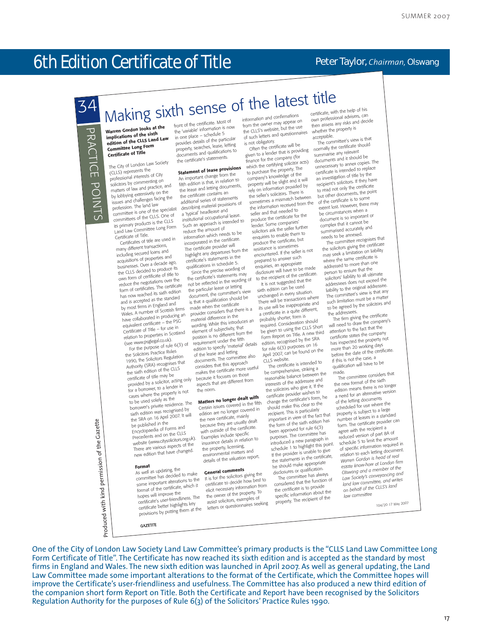## 6th Edition Certificate of Title  $4$  Practice  $P$  Practice  $P$  and  $2$  Practice  $P$

#### **Peter Taylor,** *Chairman,* Olswang

## Making sixth sense of the latest title 34

**Warren Gordon looks at the** PRACTICE POINTS PRACTICE POINTS **implications of the sixth edition of the CLLS Land Law Committee Long Form Certificate of Title**

The City of London Law Society (CLLS) represents the professional interests of City solicitors by commenting on solicitors by commenting on<br>matters of law and practice, and by lobbying extensively on the issues and challenges facing the profession. The land law committee is one of the specialist committees of the CLLS. One of **its primary products is the CLLS** Land Law Committee Long Form Certificate of Title.

Certificates of title are used in many different transactions, including secured loans an<sup>d</sup> acquisitions of properties an<sup>d</sup> businesses. Over a decade ago, Dublished CLLS decided to produce its own form of certificate of title to reduce the negotiations over the form of certificates. The certificate has now reached its sixth edition and is accepted as the standard by most firms in England and Wales. A number of Scottish firms have collaborated in producing an equivalent certificate – the PSG Certificate of Title – for use in relation to properties in Scotland (see www.psglegal.co.uk).

For the purpose of rule  $6(3)$  of the Solicitors Practice Rules 1990, the Solicitors Regulation Authority (SRA) recognises that the sixth edition of the CLLS certificate of title may be provided by a solicitor, acting only for a borrower, to a lender in cases where the property is not to be used solely as the

borrower's private residence. The sixth edition was recognised by the SRA on 16 April 2007. It will be published in the Encyclopaedia of Forms an<sup>d</sup> Precedents and on the CLLS website (www.citysolicitors.org.uk). There are various aspects of the new edition that have changed.

#### **Format**

**GAZETTE** 

Produced with kind permission of the Gazette

Produced with kind permission of the Gazette

As well as updating, the As wen as upuaning, the committee has decided to make some important alterations to the format of the certificate, which it hopes will improve the certificate's user-friendliness. The certificate better highlights key provisions by putting them at the

front of the certificate. Most of the 'variable' information is now in one place – schedule 5 provides details of the particular provides details of the particular documents and qualifications to the certificate's statements.

## **Statement of lease provisions**

An important change from the fifth edition is that, in relation to the lease and letting documents, the certificate contains an additional series of statements describing material provisions of a 'typical' headlease an<sup>d</sup> institutional occupational lease. Such an approach is intended to reduce the amount of information which needs to be incorporated in the certificate. The certificate provider will highlight any departures from the certificate's statements in the qualifications in schedule 5. Since the precise wording of

the certificate's statements may not be reflected in the wording of the particular lease or letting document, the committee's view decompany and committee is view made when the certificate provider considers that there is a material difference in the wording. While this introduces an element of subjectivity, that position is no different from the requirement under the fifth edition to specify 'material' details of the lease and letting documents. The committee also considers that this approach makes the certificate more useful because it focuses on those aspects that are different from the norm.

## **Matters no longer dealt with**

Certain issues covered in the fifth edition are no longer covered in the new certificate, mainly the new commonly many with outside of the certificate. Examples include specific insurance details in relation to the property, licensing, environmental matters an<sup>d</sup> details of the valuation report.

#### **General comments**

It is for the solicitors giving the certificate to decide how best to elicit necessary information from the owner of the property. To assist solicitors, examples of letters or questionnaires seeking

from the owner may appear on<br>the CLLS's website, but the use of such letters and questionnaires is not obligatory.

Often the certificate will be given to a lender that is providing finance for the company (for which the certifying solicitor acts) to purchase the property. The company's knowledge of the property will be slight and it will rely on information provided by the seller's solicitors. There is sometimes a mismatch between sometimes a matriced served from the seller and that needed to produce the certificate for the lender. Some companies' solicitors ask the seller further enquiries to enable them to produce the certificate, but resistance is sometimes encountered. If the seller is not prepared to answer such enquiries, an appropriate disclosure will have to be made to the recipient of the certificate.

It is not suggested that the sixth edition can be used unchanged in every situation. There will be transactions where its use will be inappropriate an<sup>d</sup> a certificate in a quite different, probably shorter, form is required. Consideration should be given to using the CLLS Short<br>Form Report on Title. A new third rollin Report on the American  $f_{\text{for rule}}$  6(3) purposes on 16 April 2007, can be found on the CLLS website.

The certificate is intended to be comprehensive, striking a reasonable balance between the interests of the addressee an<sup>d</sup> the solicitors who give it. If the certificate provider wishes to change the certificate's form, he should make this clear to the recipient. This is particularly important in view of the fact that imponent in your or the race that been approved for rule 6(3) purposes. The committee has introduced a new paragraph in schedule 1 to highlight this point. If the provider is unable to give the statements in the certificate, he should make appropriate disclosures or qualification. The committee has always

considered that the function of the certificate is to provide specific information about the property. The recipient of the

certificate, with the help of his own professional advisers, can Unit protocontribution accepts and decide whether the property is acceptable.

The committee's view is that normally the certificate should summarise any relevant documents and it should be unnecessary to annex copies. The certificate is intended to replace an investigation of title by the are investigation of the state to read not only the certificate but other documents, the point of the certificate is to some extent lost. However, there may be circumstances when a document is so important or complex that it cannot be summarised accurately an<sup>d</sup> needs to be annexed.

The committee recognises that the solicitors giving the certificate may seek a limitation on liability where the same certificate is addressed to more than one person to ensure that the solicitors' liability to all ultimate addressees does not exceed the liability to the original addressee. meaning to the program and cased. such limitation must be a matter to be agreed by the solicitors and the addressees.

The firm giving the certificate will need to draw the company's attention to the fact that the certificate states the company has inspected the property not more than 20 working days before the date of the certificate. If this is not the case, a qualification will have to be made.

The committee considers that the new format of the sixth edition means there is no longer **CALIFORD AND AND LOT OF REAL ARTICLE** of the letting documents scheduled for use where the property is subject to a large number of leases in a standard form. The certificate provider can agree with the recipient a reduced version of part 8A of schedule 5 to limit the amoun<sup>t</sup> of specific information required in or specific information required in *Warren Gordon is head of real estate know-how at London firm Olswang and a member of the Law Society's conveyancing an<sup>d</sup> land law committee, and writes on behalf of the CLLS's land law committee*

104/20 17 May <sup>2007</sup>

One of the City of London Law Society Land Law Committee's primary products is the "CLLS Land Law Committee Long Form Certificate of Title". The Certificate has now reached its sixth edition and is accepted as the standard by most firms in England and Wales. The new sixth edition was launched in April 2007. As well as general updating, the Land Law Committee made some important alterations to the format of the Certificate, which the Committee hopes will improve the Certificate's user-friendliness and usefulness. The Committee has also produced a new third edition of the companion short form Report on Title. Both the Certificate and Report have been recognised by the Solicitors Regulation Authority for the purposes of Rule 6(3) of the Solicitors' Practice Rules 1990.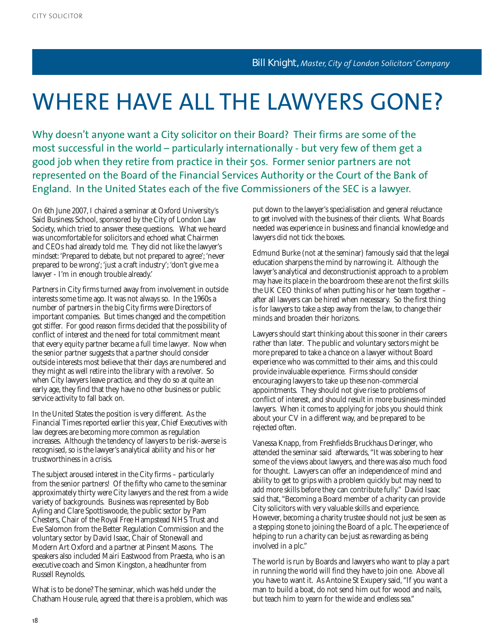# WHERE HAVE ALL THE LAWYERS GONE?

Why doesn't anyone want a City solicitor on their Board? Their firms are some of the most successful in the world – particularly internationally - but very few of them get a good job when they retire from practice in their 50s. Former senior partners are not represented on the Board of the Financial Services Authority or the Court of the Bank of England. In the United States each of the five Commissioners of the SEC is a lawyer.

On 6th June 2007, I chaired a seminar at Oxford University's Said Business School, sponsored by the City of London Law Society, which tried to answer these questions. What we heard was uncomfortable for solicitors and echoed what Chairmen and CEOs had already told me. They did not like the lawyer's mindset: 'Prepared to debate, but not prepared to agree'; 'never prepared to be wrong'; 'just a craft industry'; 'don't give me a lawyer - I'm in enough trouble already.'

Partners in City firms turned away from involvement in outside interests some time ago. It was not always so. In the 1960s a number of partners in the big City firms were Directors of important companies. But times changed and the competition got stiffer. For good reason firms decided that the possibility of conflict of interest and the need for total commitment meant that every equity partner became a full time lawyer. Now when the senior partner suggests that a partner should consider outside interests most believe that their days are numbered and they might as well retire into the library with a revolver. So when City lawyers leave practice, and they do so at quite an early age, they find that they have no other business or public service activity to fall back on.

In the United States the position is very different. As the Financial Times reported earlier this year, Chief Executives with law degrees are becoming more common as regulation increases. Although the tendency of lawyers to be risk-averse is recognised, so is the lawyer's analytical ability and his or her trustworthiness in a crisis.

The subject aroused interest in the City firms – particularly from the senior partners! Of the fifty who came to the seminar approximately thirty were City lawyers and the rest from a wide variety of backgrounds. Business was represented by Bob Ayling and Clare Spottiswoode, the public sector by Pam Chesters, Chair of the Royal Free Hampstead NHS Trust and Eve Salomon from the Better Regulation Commission and the voluntary sector by David Isaac, Chair of Stonewall and Modern Art Oxford and a partner at Pinsent Masons. The speakers also included Mairi Eastwood from Praesta, who is an executive coach and Simon Kingston, a headhunter from Russell Reynolds.

What is to be done? The seminar, which was held under the Chatham House rule, agreed that there is a problem, which was

put down to the lawyer's specialisation and general reluctance to get involved with the business of their clients. What Boards needed was experience in business and financial knowledge and lawyers did not tick the boxes.

Edmund Burke (not at the seminar) famously said that the legal education sharpens the mind by narrowing it. Although the lawyer's analytical and deconstructionist approach to a problem may have its place in the boardroom these are not the first skills the UK CEO thinks of when putting his or her team together – after all lawyers can be hired when necessary. So the first thing is for lawyers to take a step away from the law, to change their minds and broaden their horizons.

Lawyers should start thinking about this sooner in their careers rather than later. The public and voluntary sectors might be more prepared to take a chance on a lawyer without Board experience who was committed to their aims, and this could provide invaluable experience. Firms should consider encouraging lawyers to take up these non-commercial appointments. They should not give rise to problems of conflict of interest, and should result in more business-minded lawyers. When it comes to applying for jobs you should think about your CV in a different way, and be prepared to be rejected often.

Vanessa Knapp, from Freshfields Bruckhaus Deringer, who attended the seminar said afterwards, "It was sobering to hear some of the views about lawyers, and there was also much food for thought. Lawyers can offer an independence of mind and ability to get to grips with a problem quickly but may need to add more skills before they can contribute fully." David Isaac said that, "Becoming a Board member of a charity can provide City solicitors with very valuable skills and experience. However, becoming a charity trustee should not just be seen as a stepping stone to joining the Board of a plc. The experience of helping to run a charity can be just as rewarding as being involved in a plc."

The world is run by Boards and lawyers who want to play a part in running the world will find they have to join one. Above all you have to want it. As Antoine St Exupery said, "If you want a man to build a boat, do not send him out for wood and nails, but teach him to yearn for the wide and endless sea."